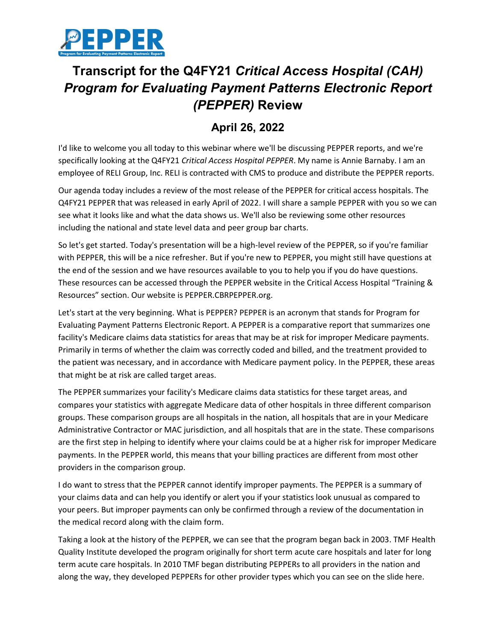

## **Transcript for the Q4FY21** *Critical Access Hospital (CAH) Program for Evaluating Payment Patterns Electronic Report (PEPPER)* **Review**

## **April 26, 2022**

I'd like to welcome you all today to this webinar where we'll be discussing PEPPER reports, and we're specifically looking at the Q4FY21 *Critical Access Hospital PEPPER*. My name is Annie Barnaby. I am an employee of RELI Group, Inc. RELI is contracted with CMS to produce and distribute the PEPPER reports.

Our agenda today includes a review of the most release of the PEPPER for critical access hospitals. The Q4FY21 PEPPER that was released in early April of 2022. I will share a sample PEPPER with you so we can see what it looks like and what the data shows us. We'll also be reviewing some other resources including the national and state level data and peer group bar charts.

So let's get started. Today's presentation will be a high-level review of the PEPPER, so if you're familiar with PEPPER, this will be a nice refresher. But if you're new to PEPPER, you might still have questions at the end of the session and we have resources available to you to help you if you do have questions. These resources can be accessed through the PEPPER website in the Critical Access Hospital "Training & Resources" section. Our website is PEPPER.CBRPEPPER.org.

Let's start at the very beginning. What is PEPPER? PEPPER is an acronym that stands for Program for Evaluating Payment Patterns Electronic Report. A PEPPER is a comparative report that summarizes one facility's Medicare claims data statistics for areas that may be at risk for improper Medicare payments. Primarily in terms of whether the claim was correctly coded and billed, and the treatment provided to the patient was necessary, and in accordance with Medicare payment policy. In the PEPPER, these areas that might be at risk are called target areas.

The PEPPER summarizes your facility's Medicare claims data statistics for these target areas, and compares your statistics with aggregate Medicare data of other hospitals in three different comparison groups. These comparison groups are all hospitals in the nation, all hospitals that are in your Medicare Administrative Contractor or MAC jurisdiction, and all hospitals that are in the state. These comparisons are the first step in helping to identify where your claims could be at a higher risk for improper Medicare payments. In the PEPPER world, this means that your billing practices are different from most other providers in the comparison group.

I do want to stress that the PEPPER cannot identify improper payments. The PEPPER is a summary of your claims data and can help you identify or alert you if your statistics look unusual as compared to your peers. But improper payments can only be confirmed through a review of the documentation in the medical record along with the claim form.

Taking a look at the history of the PEPPER, we can see that the program began back in 2003. TMF Health Quality Institute developed the program originally for short term acute care hospitals and later for long term acute care hospitals. In 2010 TMF began distributing PEPPERs to all providers in the nation and along the way, they developed PEPPERs for other provider types which you can see on the slide here.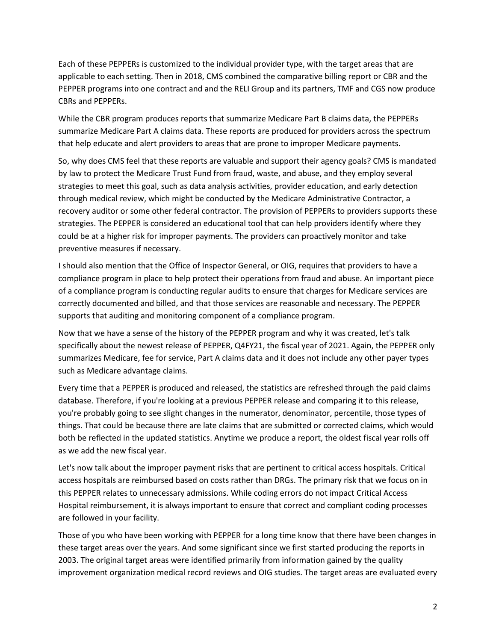Each of these PEPPERs is customized to the individual provider type, with the target areas that are applicable to each setting. Then in 2018, CMS combined the comparative billing report or CBR and the PEPPER programs into one contract and and the RELI Group and its partners, TMF and CGS now produce CBRs and PEPPERs.

While the CBR program produces reports that summarize Medicare Part B claims data, the PEPPERs summarize Medicare Part A claims data. These reports are produced for providers across the spectrum that help educate and alert providers to areas that are prone to improper Medicare payments.

So, why does CMS feel that these reports are valuable and support their agency goals? CMS is mandated by law to protect the Medicare Trust Fund from fraud, waste, and abuse, and they employ several strategies to meet this goal, such as data analysis activities, provider education, and early detection through medical review, which might be conducted by the Medicare Administrative Contractor, a recovery auditor or some other federal contractor. The provision of PEPPERs to providers supports these strategies. The PEPPER is considered an educational tool that can help providers identify where they could be at a higher risk for improper payments. The providers can proactively monitor and take preventive measures if necessary.

I should also mention that the Office of Inspector General, or OIG, requires that providers to have a compliance program in place to help protect their operations from fraud and abuse. An important piece of a compliance program is conducting regular audits to ensure that charges for Medicare services are correctly documented and billed, and that those services are reasonable and necessary. The PEPPER supports that auditing and monitoring component of a compliance program.

Now that we have a sense of the history of the PEPPER program and why it was created, let's talk specifically about the newest release of PEPPER, Q4FY21, the fiscal year of 2021. Again, the PEPPER only summarizes Medicare, fee for service, Part A claims data and it does not include any other payer types such as Medicare advantage claims.

Every time that a PEPPER is produced and released, the statistics are refreshed through the paid claims database. Therefore, if you're looking at a previous PEPPER release and comparing it to this release, you're probably going to see slight changes in the numerator, denominator, percentile, those types of things. That could be because there are late claims that are submitted or corrected claims, which would both be reflected in the updated statistics. Anytime we produce a report, the oldest fiscal year rolls off as we add the new fiscal year.

Let's now talk about the improper payment risks that are pertinent to critical access hospitals. Critical access hospitals are reimbursed based on costs rather than DRGs. The primary risk that we focus on in this PEPPER relates to unnecessary admissions. While coding errors do not impact Critical Access Hospital reimbursement, it is always important to ensure that correct and compliant coding processes are followed in your facility.

Those of you who have been working with PEPPER for a long time know that there have been changes in these target areas over the years. And some significant since we first started producing the reports in 2003. The original target areas were identified primarily from information gained by the quality improvement organization medical record reviews and OIG studies. The target areas are evaluated every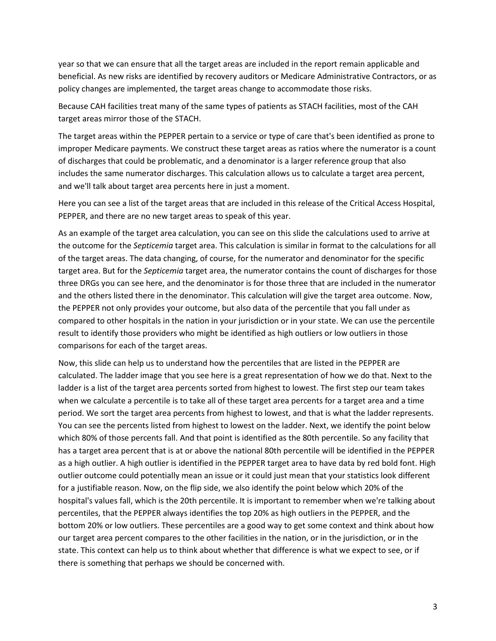year so that we can ensure that all the target areas are included in the report remain applicable and beneficial. As new risks are identified by recovery auditors or Medicare Administrative Contractors, or as policy changes are implemented, the target areas change to accommodate those risks.

Because CAH facilities treat many of the same types of patients as STACH facilities, most of the CAH target areas mirror those of the STACH.

The target areas within the PEPPER pertain to a service or type of care that's been identified as prone to improper Medicare payments. We construct these target areas as ratios where the numerator is a count of discharges that could be problematic, and a denominator is a larger reference group that also includes the same numerator discharges. This calculation allows us to calculate a target area percent, and we'll talk about target area percents here in just a moment.

Here you can see a list of the target areas that are included in this release of the Critical Access Hospital, PEPPER, and there are no new target areas to speak of this year.

As an example of the target area calculation, you can see on this slide the calculations used to arrive at the outcome for the *Septicemia* target area. This calculation is similar in format to the calculations for all of the target areas. The data changing, of course, for the numerator and denominator for the specific target area. But for the *Septicemia* target area, the numerator contains the count of discharges for those three DRGs you can see here, and the denominator is for those three that are included in the numerator and the others listed there in the denominator. This calculation will give the target area outcome. Now, the PEPPER not only provides your outcome, but also data of the percentile that you fall under as compared to other hospitals in the nation in your jurisdiction or in your state. We can use the percentile result to identify those providers who might be identified as high outliers or low outliers in those comparisons for each of the target areas.

Now, this slide can help us to understand how the percentiles that are listed in the PEPPER are calculated. The ladder image that you see here is a great representation of how we do that. Next to the ladder is a list of the target area percents sorted from highest to lowest. The first step our team takes when we calculate a percentile is to take all of these target area percents for a target area and a time period. We sort the target area percents from highest to lowest, and that is what the ladder represents. You can see the percents listed from highest to lowest on the ladder. Next, we identify the point below which 80% of those percents fall. And that point is identified as the 80th percentile. So any facility that has a target area percent that is at or above the national 80th percentile will be identified in the PEPPER as a high outlier. A high outlier is identified in the PEPPER target area to have data by red bold font. High outlier outcome could potentially mean an issue or it could just mean that your statistics look different for a justifiable reason. Now, on the flip side, we also identify the point below which 20% of the hospital's values fall, which is the 20th percentile. It is important to remember when we're talking about percentiles, that the PEPPER always identifies the top 20% as high outliers in the PEPPER, and the bottom 20% or low outliers. These percentiles are a good way to get some context and think about how our target area percent compares to the other facilities in the nation, or in the jurisdiction, or in the state. This context can help us to think about whether that difference is what we expect to see, or if there is something that perhaps we should be concerned with.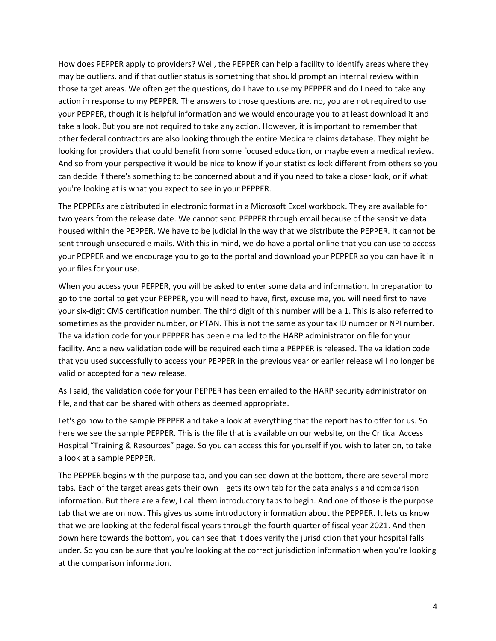How does PEPPER apply to providers? Well, the PEPPER can help a facility to identify areas where they may be outliers, and if that outlier status is something that should prompt an internal review within those target areas. We often get the questions, do I have to use my PEPPER and do I need to take any action in response to my PEPPER. The answers to those questions are, no, you are not required to use your PEPPER, though it is helpful information and we would encourage you to at least download it and take a look. But you are not required to take any action. However, it is important to remember that other federal contractors are also looking through the entire Medicare claims database. They might be looking for providers that could benefit from some focused education, or maybe even a medical review. And so from your perspective it would be nice to know if your statistics look different from others so you can decide if there's something to be concerned about and if you need to take a closer look, or if what you're looking at is what you expect to see in your PEPPER.

The PEPPERs are distributed in electronic format in a Microsoft Excel workbook. They are available for two years from the release date. We cannot send PEPPER through email because of the sensitive data housed within the PEPPER. We have to be judicial in the way that we distribute the PEPPER. It cannot be sent through unsecured e mails. With this in mind, we do have a portal online that you can use to access your PEPPER and we encourage you to go to the portal and download your PEPPER so you can have it in your files for your use.

When you access your PEPPER, you will be asked to enter some data and information. In preparation to go to the portal to get your PEPPER, you will need to have, first, excuse me, you will need first to have your six-digit CMS certification number. The third digit of this number will be a 1. This is also referred to sometimes as the provider number, or PTAN. This is not the same as your tax ID number or NPI number. The validation code for your PEPPER has been e mailed to the HARP administrator on file for your facility. And a new validation code will be required each time a PEPPER is released. The validation code that you used successfully to access your PEPPER in the previous year or earlier release will no longer be valid or accepted for a new release.

As I said, the validation code for your PEPPER has been emailed to the HARP security administrator on file, and that can be shared with others as deemed appropriate.

Let's go now to the sample PEPPER and take a look at everything that the report has to offer for us. So here we see the sample PEPPER. This is the file that is available on our website, on the Critical Access Hospital "Training & Resources" page. So you can access this for yourself if you wish to later on, to take a look at a sample PEPPER.

The PEPPER begins with the purpose tab, and you can see down at the bottom, there are several more tabs. Each of the target areas gets their own—gets its own tab for the data analysis and comparison information. But there are a few, I call them introductory tabs to begin. And one of those is the purpose tab that we are on now. This gives us some introductory information about the PEPPER. It lets us know that we are looking at the federal fiscal years through the fourth quarter of fiscal year 2021. And then down here towards the bottom, you can see that it does verify the jurisdiction that your hospital falls under. So you can be sure that you're looking at the correct jurisdiction information when you're looking at the comparison information.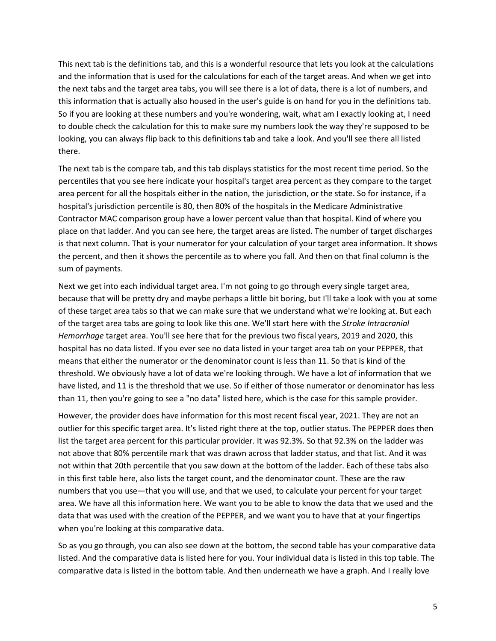This next tab is the definitions tab, and this is a wonderful resource that lets you look at the calculations and the information that is used for the calculations for each of the target areas. And when we get into the next tabs and the target area tabs, you will see there is a lot of data, there is a lot of numbers, and this information that is actually also housed in the user's guide is on hand for you in the definitions tab. So if you are looking at these numbers and you're wondering, wait, what am I exactly looking at, I need to double check the calculation for this to make sure my numbers look the way they're supposed to be looking, you can always flip back to this definitions tab and take a look. And you'll see there all listed there.

The next tab is the compare tab, and this tab displays statistics for the most recent time period. So the percentiles that you see here indicate your hospital's target area percent as they compare to the target area percent for all the hospitals either in the nation, the jurisdiction, or the state. So for instance, if a hospital's jurisdiction percentile is 80, then 80% of the hospitals in the Medicare Administrative Contractor MAC comparison group have a lower percent value than that hospital. Kind of where you place on that ladder. And you can see here, the target areas are listed. The number of target discharges is that next column. That is your numerator for your calculation of your target area information. It shows the percent, and then it shows the percentile as to where you fall. And then on that final column is the sum of payments.

Next we get into each individual target area. I'm not going to go through every single target area, because that will be pretty dry and maybe perhaps a little bit boring, but I'll take a look with you at some of these target area tabs so that we can make sure that we understand what we're looking at. But each of the target area tabs are going to look like this one. We'll start here with the *Stroke Intracranial Hemorrhage* target area. You'll see here that for the previous two fiscal years, 2019 and 2020, this hospital has no data listed. If you ever see no data listed in your target area tab on your PEPPER, that means that either the numerator or the denominator count is less than 11. So that is kind of the threshold. We obviously have a lot of data we're looking through. We have a lot of information that we have listed, and 11 is the threshold that we use. So if either of those numerator or denominator has less than 11, then you're going to see a "no data" listed here, which is the case for this sample provider.

However, the provider does have information for this most recent fiscal year, 2021. They are not an outlier for this specific target area. It's listed right there at the top, outlier status. The PEPPER does then list the target area percent for this particular provider. It was 92.3%. So that 92.3% on the ladder was not above that 80% percentile mark that was drawn across that ladder status, and that list. And it was not within that 20th percentile that you saw down at the bottom of the ladder. Each of these tabs also in this first table here, also lists the target count, and the denominator count. These are the raw numbers that you use—that you will use, and that we used, to calculate your percent for your target area. We have all this information here. We want you to be able to know the data that we used and the data that was used with the creation of the PEPPER, and we want you to have that at your fingertips when you're looking at this comparative data.

So as you go through, you can also see down at the bottom, the second table has your comparative data listed. And the comparative data is listed here for you. Your individual data is listed in this top table. The comparative data is listed in the bottom table. And then underneath we have a graph. And I really love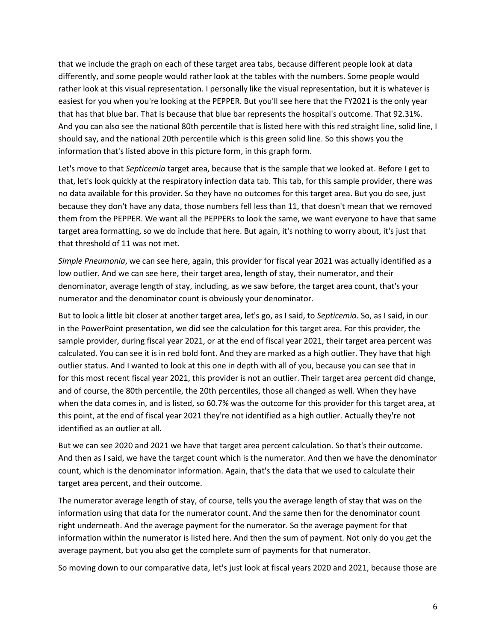that we include the graph on each of these target area tabs, because different people look at data differently, and some people would rather look at the tables with the numbers. Some people would rather look at this visual representation. I personally like the visual representation, but it is whatever is easiest for you when you're looking at the PEPPER. But you'll see here that the FY2021 is the only year that has that blue bar. That is because that blue bar represents the hospital's outcome. That 92.31%. And you can also see the national 80th percentile that is listed here with this red straight line, solid line, I should say, and the national 20th percentile which is this green solid line. So this shows you the information that's listed above in this picture form, in this graph form.

Let's move to that *Septicemia* target area, because that is the sample that we looked at. Before I get to that, let's look quickly at the respiratory infection data tab. This tab, for this sample provider, there was no data available for this provider. So they have no outcomes for this target area. But you do see, just because they don't have any data, those numbers fell less than 11, that doesn't mean that we removed them from the PEPPER. We want all the PEPPERs to look the same, we want everyone to have that same target area formatting, so we do include that here. But again, it's nothing to worry about, it's just that that threshold of 11 was not met.

*Simple Pneumonia*, we can see here, again, this provider for fiscal year 2021 was actually identified as a low outlier. And we can see here, their target area, length of stay, their numerator, and their denominator, average length of stay, including, as we saw before, the target area count, that's your numerator and the denominator count is obviously your denominator.

But to look a little bit closer at another target area, let's go, as I said, to *Septicemia*. So, as I said, in our in the PowerPoint presentation, we did see the calculation for this target area. For this provider, the sample provider, during fiscal year 2021, or at the end of fiscal year 2021, their target area percent was calculated. You can see it is in red bold font. And they are marked as a high outlier. They have that high outlier status. And I wanted to look at this one in depth with all of you, because you can see that in for this most recent fiscal year 2021, this provider is not an outlier. Their target area percent did change, and of course, the 80th percentile, the 20th percentiles, those all changed as well. When they have when the data comes in, and is listed, so 60.7% was the outcome for this provider for this target area, at this point, at the end of fiscal year 2021 they're not identified as a high outlier. Actually they're not identified as an outlier at all.

But we can see 2020 and 2021 we have that target area percent calculation. So that's their outcome. And then as I said, we have the target count which is the numerator. And then we have the denominator count, which is the denominator information. Again, that's the data that we used to calculate their target area percent, and their outcome.

The numerator average length of stay, of course, tells you the average length of stay that was on the information using that data for the numerator count. And the same then for the denominator count right underneath. And the average payment for the numerator. So the average payment for that information within the numerator is listed here. And then the sum of payment. Not only do you get the average payment, but you also get the complete sum of payments for that numerator.

So moving down to our comparative data, let's just look at fiscal years 2020 and 2021, because those are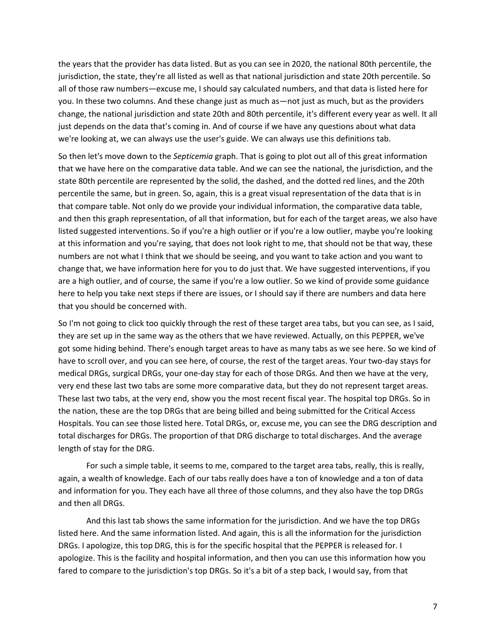the years that the provider has data listed. But as you can see in 2020, the national 80th percentile, the jurisdiction, the state, they're all listed as well as that national jurisdiction and state 20th percentile. So all of those raw numbers—excuse me, I should say calculated numbers, and that data is listed here for you. In these two columns. And these change just as much as—not just as much, but as the providers change, the national jurisdiction and state 20th and 80th percentile, it's different every year as well. It all just depends on the data that's coming in. And of course if we have any questions about what data we're looking at, we can always use the user's guide. We can always use this definitions tab.

So then let's move down to the *Septicemia* graph. That is going to plot out all of this great information that we have here on the comparative data table. And we can see the national, the jurisdiction, and the state 80th percentile are represented by the solid, the dashed, and the dotted red lines, and the 20th percentile the same, but in green. So, again, this is a great visual representation of the data that is in that compare table. Not only do we provide your individual information, the comparative data table, and then this graph representation, of all that information, but for each of the target areas, we also have listed suggested interventions. So if you're a high outlier or if you're a low outlier, maybe you're looking at this information and you're saying, that does not look right to me, that should not be that way, these numbers are not what I think that we should be seeing, and you want to take action and you want to change that, we have information here for you to do just that. We have suggested interventions, if you are a high outlier, and of course, the same if you're a low outlier. So we kind of provide some guidance here to help you take next steps if there are issues, or I should say if there are numbers and data here that you should be concerned with.

So I'm not going to click too quickly through the rest of these target area tabs, but you can see, as I said, they are set up in the same way as the others that we have reviewed. Actually, on this PEPPER, we've got some hiding behind. There's enough target areas to have as many tabs as we see here. So we kind of have to scroll over, and you can see here, of course, the rest of the target areas. Your two-day stays for medical DRGs, surgical DRGs, your one-day stay for each of those DRGs. And then we have at the very, very end these last two tabs are some more comparative data, but they do not represent target areas. These last two tabs, at the very end, show you the most recent fiscal year. The hospital top DRGs. So in the nation, these are the top DRGs that are being billed and being submitted for the Critical Access Hospitals. You can see those listed here. Total DRGs, or, excuse me, you can see the DRG description and total discharges for DRGs. The proportion of that DRG discharge to total discharges. And the average length of stay for the DRG.

 For such a simple table, it seems to me, compared to the target area tabs, really, this is really, again, a wealth of knowledge. Each of our tabs really does have a ton of knowledge and a ton of data and information for you. They each have all three of those columns, and they also have the top DRGs and then all DRGs.

 And this last tab shows the same information for the jurisdiction. And we have the top DRGs listed here. And the same information listed. And again, this is all the information for the jurisdiction DRGs. I apologize, this top DRG, this is for the specific hospital that the PEPPER is released for. I apologize. This is the facility and hospital information, and then you can use this information how you fared to compare to the jurisdiction's top DRGs. So it's a bit of a step back, I would say, from that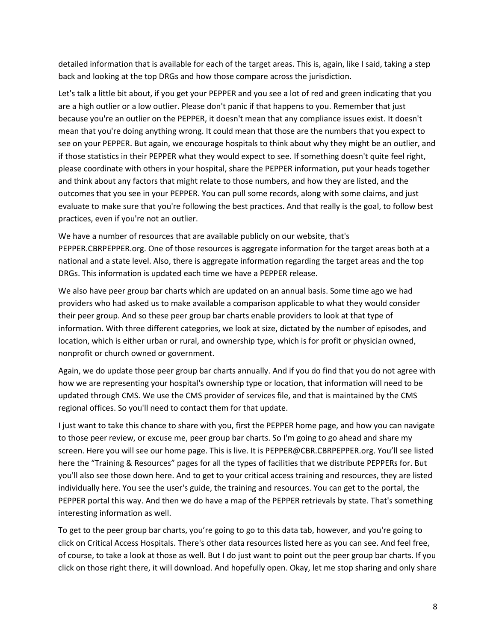detailed information that is available for each of the target areas. This is, again, like I said, taking a step back and looking at the top DRGs and how those compare across the jurisdiction.

Let's talk a little bit about, if you get your PEPPER and you see a lot of red and green indicating that you are a high outlier or a low outlier. Please don't panic if that happens to you. Remember that just because you're an outlier on the PEPPER, it doesn't mean that any compliance issues exist. It doesn't mean that you're doing anything wrong. It could mean that those are the numbers that you expect to see on your PEPPER. But again, we encourage hospitals to think about why they might be an outlier, and if those statistics in their PEPPER what they would expect to see. If something doesn't quite feel right, please coordinate with others in your hospital, share the PEPPER information, put your heads together and think about any factors that might relate to those numbers, and how they are listed, and the outcomes that you see in your PEPPER. You can pull some records, along with some claims, and just evaluate to make sure that you're following the best practices. And that really is the goal, to follow best practices, even if you're not an outlier.

We have a number of resources that are available publicly on our website, that's PEPPER.CBRPEPPER.org. One of those resources is aggregate information for the target areas both at a national and a state level. Also, there is aggregate information regarding the target areas and the top DRGs. This information is updated each time we have a PEPPER release.

We also have peer group bar charts which are updated on an annual basis. Some time ago we had providers who had asked us to make available a comparison applicable to what they would consider their peer group. And so these peer group bar charts enable providers to look at that type of information. With three different categories, we look at size, dictated by the number of episodes, and location, which is either urban or rural, and ownership type, which is for profit or physician owned, nonprofit or church owned or government.

Again, we do update those peer group bar charts annually. And if you do find that you do not agree with how we are representing your hospital's ownership type or location, that information will need to be updated through CMS. We use the CMS provider of services file, and that is maintained by the CMS regional offices. So you'll need to contact them for that update.

I just want to take this chance to share with you, first the PEPPER home page, and how you can navigate to those peer review, or excuse me, peer group bar charts. So I'm going to go ahead and share my screen. Here you will see our home page. This is live. It is PEPPER@CBR.CBRPEPPER.org. You'll see listed here the "Training & Resources" pages for all the types of facilities that we distribute PEPPERs for. But you'll also see those down here. And to get to your critical access training and resources, they are listed individually here. You see the user's guide, the training and resources. You can get to the portal, the PEPPER portal this way. And then we do have a map of the PEPPER retrievals by state. That's something interesting information as well.

To get to the peer group bar charts, you're going to go to this data tab, however, and you're going to click on Critical Access Hospitals. There's other data resources listed here as you can see. And feel free, of course, to take a look at those as well. But I do just want to point out the peer group bar charts. If you click on those right there, it will download. And hopefully open. Okay, let me stop sharing and only share